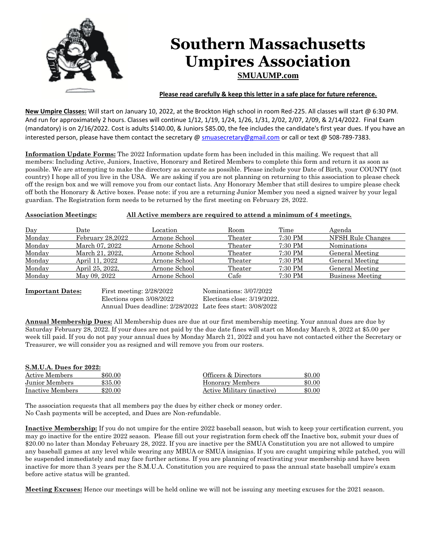

**New Umpire Classes:** Will start on January 10, 2022, at the Brockton High school in room Red-225. All classes will start @ 6:30 PM. And run for approximately 2 hours. Classes will continue 1/12, 1/19, 1/24, 1/26, 1/31, 2/02, 2/07, 2/09, & 2/14/2022. Final Exam (mandatory) is on 2/16/2022. Cost is adults \$140.00, & Juniors \$85.00, the fee includes the candidate's first year dues. If you have an

interested person, please have them contact the secretary @ [smuasecretary@gmail.com](mailto:smuasecretary@gmail.com) or call or text @ 508-789-7383.

**Information Update Forms:** The 2022 Information update form has been included in this mailing. We request that all members: Including Active, Juniors, Inactive, Honorary and Retired Members to complete this form and return it as soon as possible. We are attempting to make the directory as accurate as possible. Please include your Date of Birth, your COUNTY (not country) I hope all of you live in the USA. We are asking if you are not planning on returning to this association to please check off the resign box and we will remove you from our contact lists. Any Honorary Member that still desires to umpire please check off both the Honorary & Active boxes. Pease note: if you are a returning Junior Member you need a signed waiver by your legal guardian. The Registration form needs to be returned by the first meeting on February 28, 2022.

## **Association Meetings: All Active members are required to attend a minimum of 4 meetings.**

| Day    | Date             | Location      | Room    | Time    | Agenda             |
|--------|------------------|---------------|---------|---------|--------------------|
| Monday | February 28.2022 | Arnone School | Theater | 7:30 PM | NFSH Rule Changes  |
| Monday | March 07, 2022   | Arnone School | Theater | 7:30 PM | <b>Nominations</b> |
| Monday | March 21, 2022.  | Arnone School | Theater | 7:30 PM | General Meeting    |
| Monday | April 11, 2022   | Arnone School | Theater | 7:30 PM | General Meeting    |
| Monday | April 25, 2022,  | Arnone School | Theater | 7:30 PM | General Meeting    |
| Monday | May 09, 2022     | Arnone School | Cafe    | 7:30 PM | Business Meeting   |

**Important Dates:** First meeting: 2/28/2022 Nominations: 3/07/2022 Elections open 3/08/2022 Elections close: 3/19/2022. Annual Dues deadline: 2/28/2022 Late fees start: 3/08/2022

**Annual Membership Dues:** All Membership dues are due at our first membership meeting. Your annual dues are due by Saturday February 28, 2022. If your dues are not paid by the due date fines will start on Monday March 8, 2022 at \$5.00 per week till paid. If you do not pay your annual dues by Monday March 21, 2022 and you have not contacted either the Secretary or Treasurer, we will consider you as resigned and will remove you from our rosters.

| <b>S.M.U.A. Dues for 2022:</b> |         |                            |        |  |  |  |
|--------------------------------|---------|----------------------------|--------|--|--|--|
| Active Members                 | \$60.00 | Officers & Directors       | \$0.00 |  |  |  |
| Junior Members                 | \$35.00 | Honorary Members           | \$0.00 |  |  |  |
| Inactive Members               | \$20.00 | Active Military (inactive) | \$0.00 |  |  |  |

The association requests that all members pay the dues by either check or money order. No Cash payments will be accepted, and Dues are Non-refundable.

**Inactive Membership:** If you do not umpire for the entire 2022 baseball season, but wish to keep your certification current, you may go inactive for the entire 2022 season. Please fill out your registration form check off the Inactive box, submit your dues of \$20.00 no later than Monday February 28, 2022. If you are inactive per the SMUA Constitution you are not allowed to umpire any baseball games at any level while wearing any MBUA or SMUA insignias. If you are caught umpiring while patched, you will be suspended immediately and may face further actions. If you are planning of reactivating your membership and have been inactive for more than 3 years per the S.M.U.A. Constitution you are required to pass the annual state baseball umpire's exam before active status will be granted.

**Meeting Excuses:** Hence our meetings will be held online we will not be issuing any meeting excuses for the 2021 season.